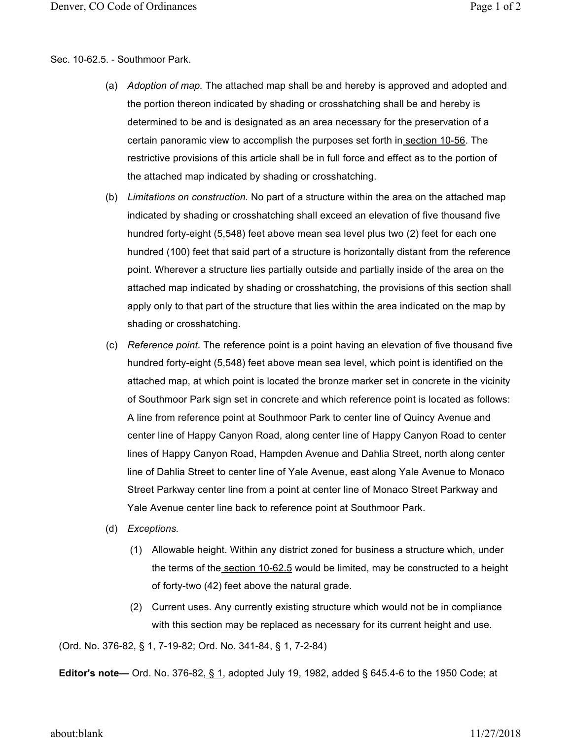## Sec. 10-62.5. - Southmoor Park.

- (a) *Adoption of map.* The attached map shall be and hereby is approved and adopted and the portion thereon indicated by shading or crosshatching shall be and hereby is determined to be and is designated as an area necessary for the preservation of a certain panoramic view to accomplish the purposes set forth in section 10-56. The restrictive provisions of this article shall be in full force and effect as to the portion of the attached map indicated by shading or crosshatching.
- (b) *Limitations on construction.* No part of a structure within the area on the attached map indicated by shading or crosshatching shall exceed an elevation of five thousand five hundred forty-eight (5,548) feet above mean sea level plus two (2) feet for each one hundred (100) feet that said part of a structure is horizontally distant from the reference point. Wherever a structure lies partially outside and partially inside of the area on the attached map indicated by shading or crosshatching, the provisions of this section shall apply only to that part of the structure that lies within the area indicated on the map by shading or crosshatching.
- (c) *Reference point.* The reference point is a point having an elevation of five thousand five hundred forty-eight (5,548) feet above mean sea level, which point is identified on the attached map, at which point is located the bronze marker set in concrete in the vicinity of Southmoor Park sign set in concrete and which reference point is located as follows: A line from reference point at Southmoor Park to center line of Quincy Avenue and center line of Happy Canyon Road, along center line of Happy Canyon Road to center lines of Happy Canyon Road, Hampden Avenue and Dahlia Street, north along center line of Dahlia Street to center line of Yale Avenue, east along Yale Avenue to Monaco Street Parkway center line from a point at center line of Monaco Street Parkway and Yale Avenue center line back to reference point at Southmoor Park.
- (d) *Exceptions.*
	- (1) Allowable height. Within any district zoned for business a structure which, under the terms of the section 10-62.5 would be limited, may be constructed to a height of forty-two (42) feet above the natural grade.
	- (2) Current uses. Any currently existing structure which would not be in compliance with this section may be replaced as necessary for its current height and use.

(Ord. No. 376-82, § 1, 7-19-82; Ord. No. 341-84, § 1, 7-2-84)

**Editor's note—** Ord. No. 376-82, § 1, adopted July 19, 1982, added § 645.4-6 to the 1950 Code; at